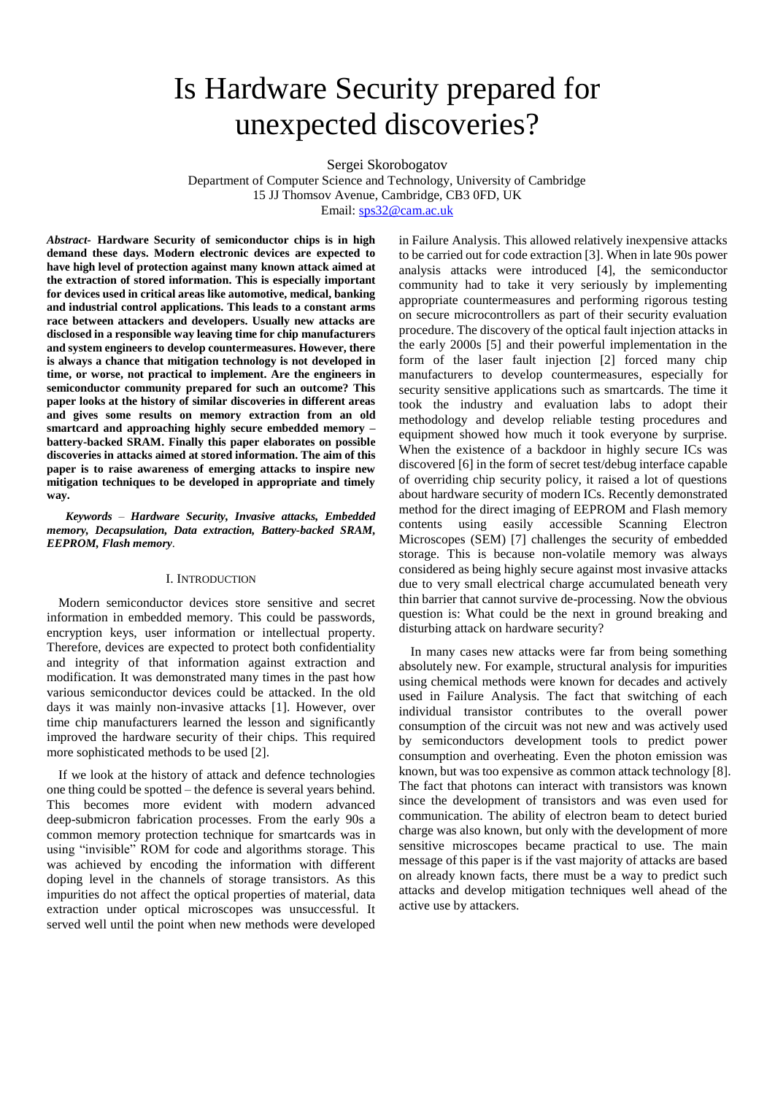# Is Hardware Security prepared for unexpected discoveries?

Sergei Skorobogatov

Department of Computer Science and Technology, University of Cambridge 15 JJ Thomsov Avenue, Cambridge, CB3 0FD, UK Email: [sps32@cam.ac.uk](mailto:sps32@cam.ac.uk)

*Abstract-* **Hardware Security of semiconductor chips is in high demand these days. Modern electronic devices are expected to have high level of protection against many known attack aimed at the extraction of stored information. This is especially important for devices used in critical areas like automotive, medical, banking and industrial control applications. This leads to a constant arms race between attackers and developers. Usually new attacks are disclosed in a responsible way leaving time for chip manufacturers and system engineers to develop countermeasures. However, there is always a chance that mitigation technology is not developed in time, or worse, not practical to implement. Are the engineers in semiconductor community prepared for such an outcome? This paper looks at the history of similar discoveries in different areas and gives some results on memory extraction from an old smartcard and approaching highly secure embedded memory – battery-backed SRAM. Finally this paper elaborates on possible discoveries in attacks aimed at stored information. The aim of this paper is to raise awareness of emerging attacks to inspire new mitigation techniques to be developed in appropriate and timely way.**

*Keywords – Hardware Security, Invasive attacks, Embedded memory, Decapsulation, Data extraction, Battery-backed SRAM, EEPROM, Flash memory*.

#### I. INTRODUCTION

Modern semiconductor devices store sensitive and secret information in embedded memory. This could be passwords, encryption keys, user information or intellectual property. Therefore, devices are expected to protect both confidentiality and integrity of that information against extraction and modification. It was demonstrated many times in the past how various semiconductor devices could be attacked. In the old days it was mainly non-invasive attacks [1]. However, over time chip manufacturers learned the lesson and significantly improved the hardware security of their chips. This required more sophisticated methods to be used [2].

If we look at the history of attack and defence technologies one thing could be spotted – the defence is several years behind. This becomes more evident with modern advanced deep-submicron fabrication processes. From the early 90s a common memory protection technique for smartcards was in using "invisible" ROM for code and algorithms storage. This was achieved by encoding the information with different doping level in the channels of storage transistors. As this impurities do not affect the optical properties of material, data extraction under optical microscopes was unsuccessful. It served well until the point when new methods were developed in Failure Analysis. This allowed relatively inexpensive attacks to be carried out for code extraction [3]. When in late 90s power analysis attacks were introduced [4], the semiconductor community had to take it very seriously by implementing appropriate countermeasures and performing rigorous testing on secure microcontrollers as part of their security evaluation procedure. The discovery of the optical fault injection attacks in the early 2000s [5] and their powerful implementation in the form of the laser fault injection [2] forced many chip manufacturers to develop countermeasures, especially for security sensitive applications such as smartcards. The time it took the industry and evaluation labs to adopt their methodology and develop reliable testing procedures and equipment showed how much it took everyone by surprise. When the existence of a backdoor in highly secure ICs was discovered [6] in the form of secret test/debug interface capable of overriding chip security policy, it raised a lot of questions about hardware security of modern ICs. Recently demonstrated method for the direct imaging of EEPROM and Flash memory contents using easily accessible Scanning Electron Microscopes (SEM) [7] challenges the security of embedded storage. This is because non-volatile memory was always considered as being highly secure against most invasive attacks due to very small electrical charge accumulated beneath very thin barrier that cannot survive de-processing. Now the obvious question is: What could be the next in ground breaking and disturbing attack on hardware security?

In many cases new attacks were far from being something absolutely new. For example, structural analysis for impurities using chemical methods were known for decades and actively used in Failure Analysis. The fact that switching of each individual transistor contributes to the overall power consumption of the circuit was not new and was actively used by semiconductors development tools to predict power consumption and overheating. Even the photon emission was known, but was too expensive as common attack technology [8]. The fact that photons can interact with transistors was known since the development of transistors and was even used for communication. The ability of electron beam to detect buried charge was also known, but only with the development of more sensitive microscopes became practical to use. The main message of this paper is if the vast majority of attacks are based on already known facts, there must be a way to predict such attacks and develop mitigation techniques well ahead of the active use by attackers.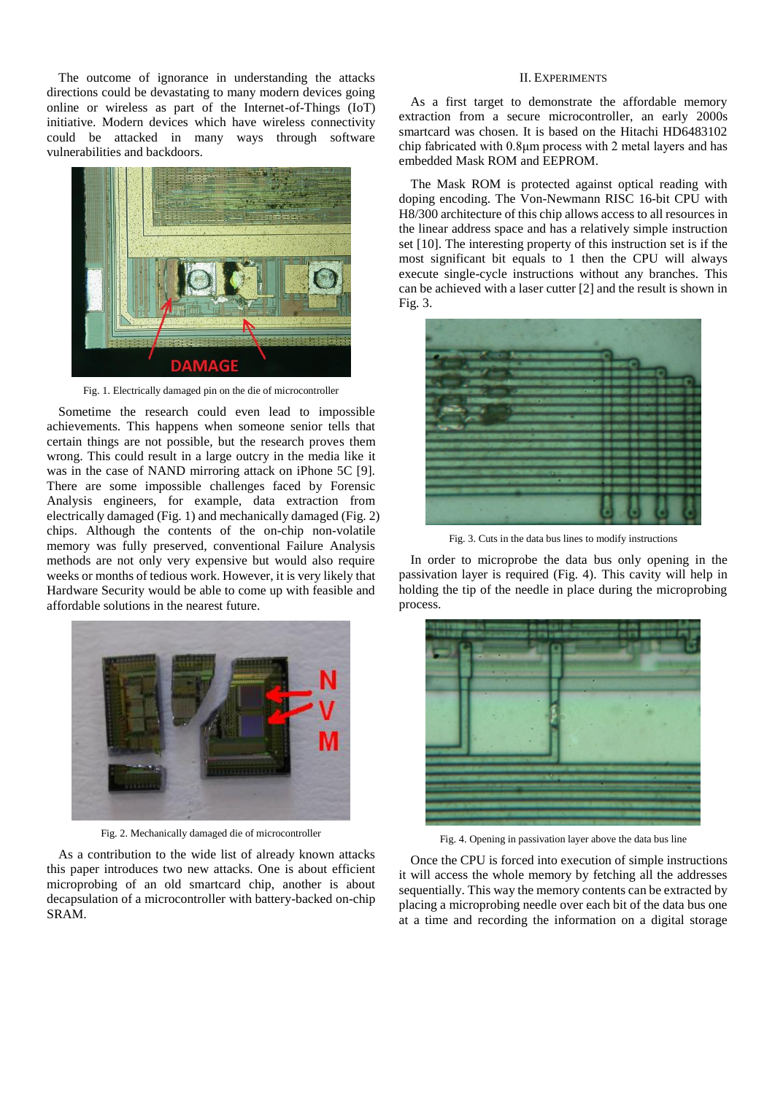The outcome of ignorance in understanding the attacks directions could be devastating to many modern devices going online or wireless as part of the Internet-of-Things (IoT) initiative. Modern devices which have wireless connectivity could be attacked in many ways through software vulnerabilities and backdoors.



Fig. 1. Electrically damaged pin on the die of microcontroller

Sometime the research could even lead to impossible achievements. This happens when someone senior tells that certain things are not possible, but the research proves them wrong. This could result in a large outcry in the media like it was in the case of NAND mirroring attack on iPhone 5C [9]. There are some impossible challenges faced by Forensic Analysis engineers, for example, data extraction from electrically damaged (Fig. 1) and mechanically damaged (Fig. 2) chips. Although the contents of the on-chip non-volatile memory was fully preserved, conventional Failure Analysis methods are not only very expensive but would also require weeks or months of tedious work. However, it is very likely that Hardware Security would be able to come up with feasible and affordable solutions in the nearest future.



Fig. 2. Mechanically damaged die of microcontroller

As a contribution to the wide list of already known attacks this paper introduces two new attacks. One is about efficient microprobing of an old smartcard chip, another is about decapsulation of a microcontroller with battery-backed on-chip SRAM.

## II. EXPERIMENTS

As a first target to demonstrate the affordable memory extraction from a secure microcontroller, an early 2000s smartcard was chosen. It is based on the Hitachi HD6483102 chip fabricated with 0.8μm process with 2 metal layers and has embedded Mask ROM and EEPROM.

The Mask ROM is protected against optical reading with doping encoding. The Von-Newmann RISC 16-bit CPU with H8/300 architecture of this chip allows access to all resources in the linear address space and has a relatively simple instruction set [10]. The interesting property of this instruction set is if the most significant bit equals to 1 then the CPU will always execute single-cycle instructions without any branches. This can be achieved with a laser cutter [2] and the result is shown in Fig. 3.



Fig. 3. Cuts in the data bus lines to modify instructions

In order to microprobe the data bus only opening in the passivation layer is required (Fig. 4). This cavity will help in holding the tip of the needle in place during the microprobing process.



Fig. 4. Opening in passivation layer above the data bus line

Once the CPU is forced into execution of simple instructions it will access the whole memory by fetching all the addresses sequentially. This way the memory contents can be extracted by placing a microprobing needle over each bit of the data bus one at a time and recording the information on a digital storage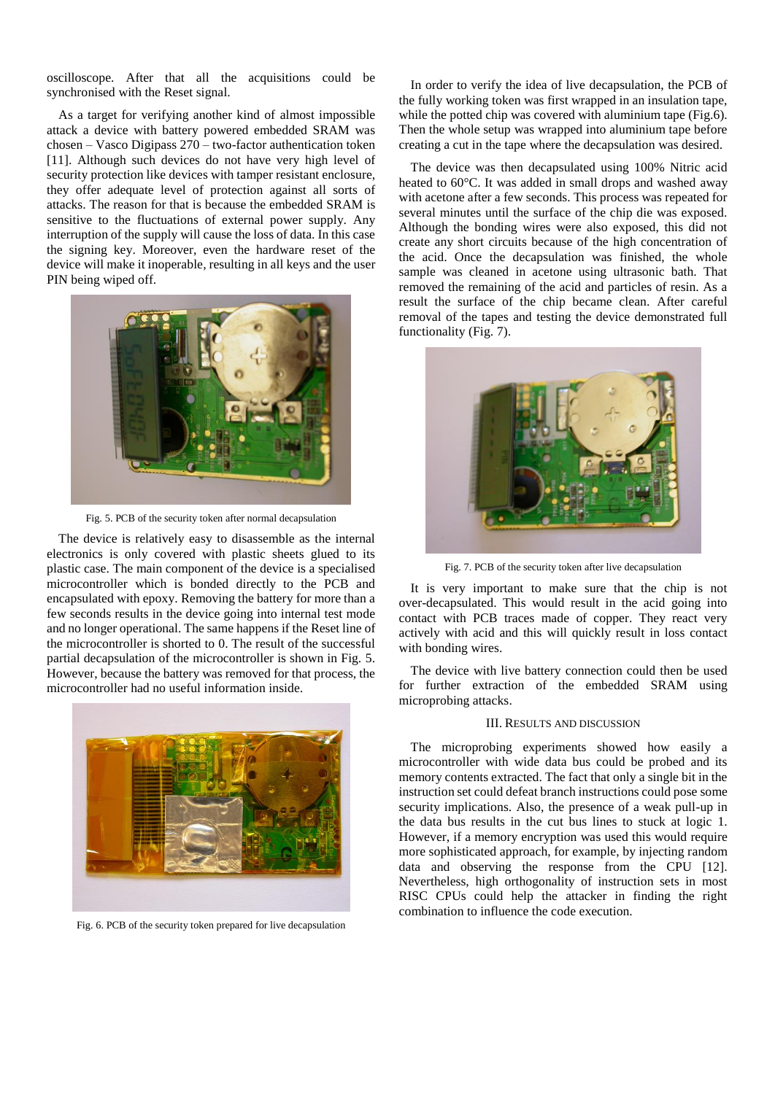oscilloscope. After that all the acquisitions could be synchronised with the Reset signal.

As a target for verifying another kind of almost impossible attack a device with battery powered embedded SRAM was chosen – Vasco Digipass 270 – two-factor authentication token [11]. Although such devices do not have very high level of security protection like devices with tamper resistant enclosure, they offer adequate level of protection against all sorts of attacks. The reason for that is because the embedded SRAM is sensitive to the fluctuations of external power supply. Any interruption of the supply will cause the loss of data. In this case the signing key. Moreover, even the hardware reset of the device will make it inoperable, resulting in all keys and the user PIN being wiped off.



Fig. 5. PCB of the security token after normal decapsulation

The device is relatively easy to disassemble as the internal electronics is only covered with plastic sheets glued to its plastic case. The main component of the device is a specialised microcontroller which is bonded directly to the PCB and encapsulated with epoxy. Removing the battery for more than a few seconds results in the device going into internal test mode and no longer operational. The same happens if the Reset line of the microcontroller is shorted to 0. The result of the successful partial decapsulation of the microcontroller is shown in Fig. 5. However, because the battery was removed for that process, the microcontroller had no useful information inside.



Fig. 6. PCB of the security token prepared for live decapsulation

In order to verify the idea of live decapsulation, the PCB of the fully working token was first wrapped in an insulation tape, while the potted chip was covered with aluminium tape (Fig.6). Then the whole setup was wrapped into aluminium tape before creating a cut in the tape where the decapsulation was desired.

The device was then decapsulated using 100% Nitric acid heated to 60°C. It was added in small drops and washed away with acetone after a few seconds. This process was repeated for several minutes until the surface of the chip die was exposed. Although the bonding wires were also exposed, this did not create any short circuits because of the high concentration of the acid. Once the decapsulation was finished, the whole sample was cleaned in acetone using ultrasonic bath. That removed the remaining of the acid and particles of resin. As a result the surface of the chip became clean. After careful removal of the tapes and testing the device demonstrated full functionality (Fig. 7).



Fig. 7. PCB of the security token after live decapsulation

It is very important to make sure that the chip is not over-decapsulated. This would result in the acid going into contact with PCB traces made of copper. They react very actively with acid and this will quickly result in loss contact with bonding wires.

The device with live battery connection could then be used for further extraction of the embedded SRAM using microprobing attacks.

### III. RESULTS AND DISCUSSION

The microprobing experiments showed how easily a microcontroller with wide data bus could be probed and its memory contents extracted. The fact that only a single bit in the instruction set could defeat branch instructions could pose some security implications. Also, the presence of a weak pull-up in the data bus results in the cut bus lines to stuck at logic 1. However, if a memory encryption was used this would require more sophisticated approach, for example, by injecting random data and observing the response from the CPU [12]. Nevertheless, high orthogonality of instruction sets in most RISC CPUs could help the attacker in finding the right combination to influence the code execution.